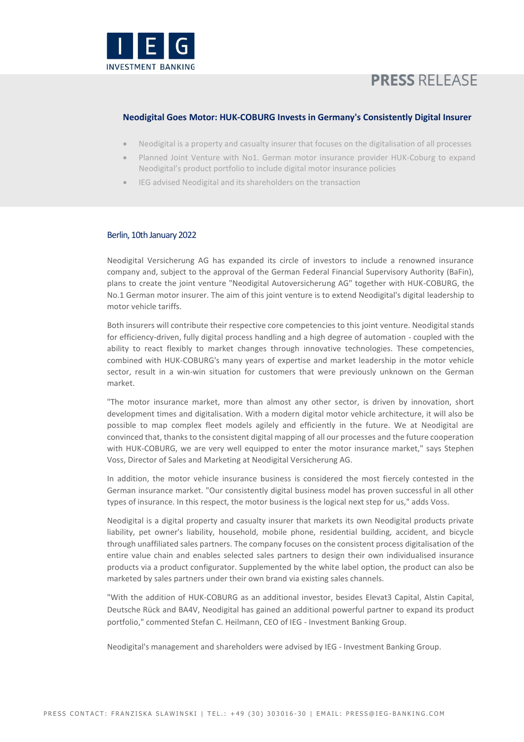

# **PRESS RELEASE**

## **Neodigital Goes Motor: HUK-COBURG Invests in Germany's Consistently Digital Insurer**

- Neodigital is a property and casualty insurer that focuses on the digitalisation of all processes
- Planned Joint Venture with No1. German motor insurance provider HUK-Coburg to expand Neodigital's product portfolio to include digital motor insurance policies
- IEG advised Neodigital and its shareholders on the transaction

### Berlin, 10th January 2022

Neodigital Versicherung AG has expanded its circle of investors to include a renowned insurance company and, subject to the approval of the German Federal Financial Supervisory Authority (BaFin), plans to create the joint venture "Neodigital Autoversicherung AG" together with HUK-COBURG, the No.1 German motor insurer. The aim of this joint venture is to extend Neodigital's digital leadership to motor vehicle tariffs.

Both insurers will contribute their respective core competencies to this joint venture. Neodigital stands for efficiency-driven, fully digital process handling and a high degree of automation - coupled with the ability to react flexibly to market changes through innovative technologies. These competencies, combined with HUK-COBURG's many years of expertise and market leadership in the motor vehicle sector, result in a win-win situation for customers that were previously unknown on the German market.

"The motor insurance market, more than almost any other sector, is driven by innovation, short development times and digitalisation. With a modern digital motor vehicle architecture, it will also be possible to map complex fleet models agilely and efficiently in the future. We at Neodigital are convinced that, thanks to the consistent digital mapping of all our processes and the future cooperation with HUK-COBURG, we are very well equipped to enter the motor insurance market," says Stephen Voss, Director of Sales and Marketing at Neodigital Versicherung AG.

In addition, the motor vehicle insurance business is considered the most fiercely contested in the German insurance market. "Our consistently digital business model has proven successful in all other types of insurance. In this respect, the motor business is the logical next step for us," adds Voss.

Neodigital is a digital property and casualty insurer that markets its own Neodigital products private liability, pet owner's liability, household, mobile phone, residential building, accident, and bicycle through unaffiliated sales partners. The company focuses on the consistent process digitalisation of the entire value chain and enables selected sales partners to design their own individualised insurance products via a product configurator. Supplemented by the white label option, the product can also be marketed by sales partners under their own brand via existing sales channels.

"With the addition of HUK-COBURG as an additional investor, besides Elevat3 Capital, Alstin Capital, Deutsche Rück and BA4V, Neodigital has gained an additional powerful partner to expand its product portfolio," commented Stefan C. Heilmann, CEO of IEG - Investment Banking Group.

Neodigital's management and shareholders were advised by IEG - Investment Banking Group.